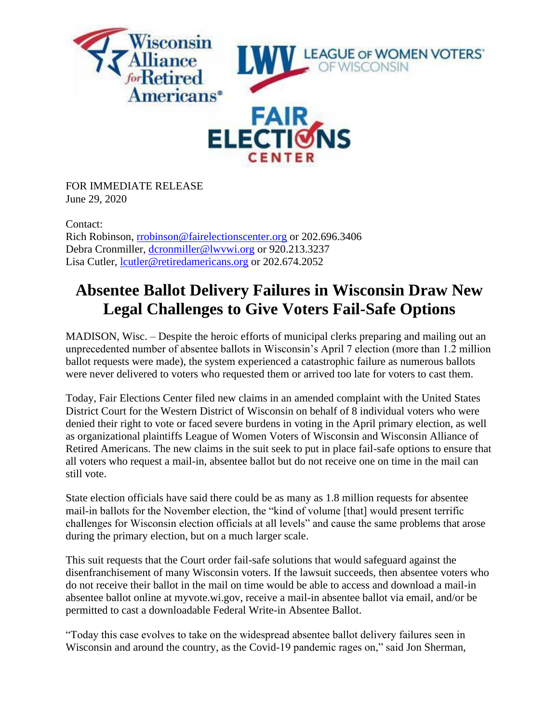

FOR IMMEDIATE RELEASE June 29, 2020

Contact:

Rich Robinson, [rrobinson@fairelectionscenter.org](mailto:rrobinson@fairelectionscenter.org) or 202.696.3406 Debra Cronmiller, [dcronmiller@lwvwi.org](mailto:dcronmiller@lwvwi.org) or 920.213.3237 Lisa Cutler, [lcutler@retiredamericans.org](mailto:lcutler@retiredamericans.org) or 202.674.2052

## **Absentee Ballot Delivery Failures in Wisconsin Draw New Legal Challenges to Give Voters Fail-Safe Options**

MADISON, Wisc. – Despite the heroic efforts of municipal clerks preparing and mailing out an unprecedented number of absentee ballots in Wisconsin's April 7 election (more than 1.2 million ballot requests were made), the system experienced a catastrophic failure as numerous ballots were never delivered to voters who requested them or arrived too late for voters to cast them.

Today, Fair Elections Center filed new claims in an amended complaint with the United States District Court for the Western District of Wisconsin on behalf of 8 individual voters who were denied their right to vote or faced severe burdens in voting in the April primary election, as well as organizational plaintiffs League of Women Voters of Wisconsin and Wisconsin Alliance of Retired Americans. The new claims in the suit seek to put in place fail-safe options to ensure that all voters who request a mail-in, absentee ballot but do not receive one on time in the mail can still vote.

State election officials have said there could be as many as 1.8 million requests for absentee mail-in ballots for the November election, the "kind of volume [that] would present terrific challenges for Wisconsin election officials at all levels" and cause the same problems that arose during the primary election, but on a much larger scale.

This suit requests that the Court order fail-safe solutions that would safeguard against the disenfranchisement of many Wisconsin voters. If the lawsuit succeeds, then absentee voters who do not receive their ballot in the mail on time would be able to access and download a mail-in absentee ballot online at myvote.wi.gov, receive a mail-in absentee ballot via email, and/or be permitted to cast a downloadable Federal Write-in Absentee Ballot.

"Today this case evolves to take on the widespread absentee ballot delivery failures seen in Wisconsin and around the country, as the Covid-19 pandemic rages on," said Jon Sherman,